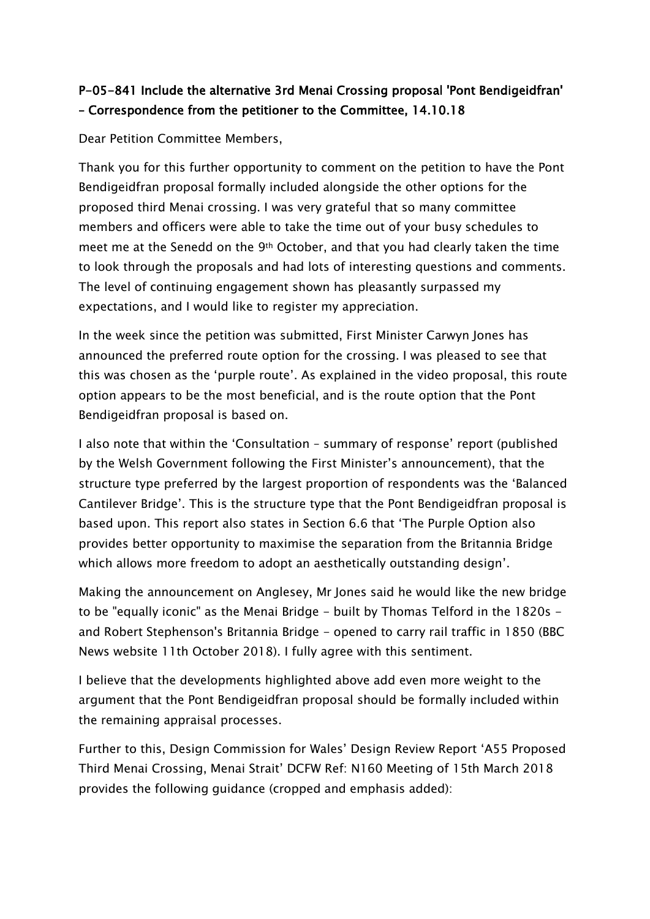## P-05-841 Include the alternative 3rd Menai Crossing proposal 'Pont Bendigeidfran' – Correspondence from the petitioner to the Committee, 14.10.18

Dear Petition Committee Members,

Thank you for this further opportunity to comment on the petition to have the Pont Bendigeidfran proposal formally included alongside the other options for the proposed third Menai crossing. I was very grateful that so many committee members and officers were able to take the time out of your busy schedules to meet me at the Senedd on the 9th October, and that you had clearly taken the time to look through the proposals and had lots of interesting questions and comments. The level of continuing engagement shown has pleasantly surpassed my expectations, and I would like to register my appreciation.

In the week since the petition was submitted, First Minister Carwyn Jones has announced the preferred route option for the crossing. I was pleased to see that this was chosen as the 'purple route'. As explained in the video proposal, this route option appears to be the most beneficial, and is the route option that the Pont Bendigeidfran proposal is based on.

I also note that within the 'Consultation – summary of response' report (published by the Welsh Government following the First Minister's announcement), that the structure type preferred by the largest proportion of respondents was the 'Balanced Cantilever Bridge'. This is the structure type that the Pont Bendigeidfran proposal is based upon. This report also states in Section 6.6 that 'The Purple Option also provides better opportunity to maximise the separation from the Britannia Bridge which allows more freedom to adopt an aesthetically outstanding design'.

Making the announcement on Anglesey, Mr Jones said he would like the new bridge to be "equally iconic" as the Menai Bridge - built by Thomas Telford in the 1820s and Robert Stephenson's Britannia Bridge - opened to carry rail traffic in 1850 (BBC News website 11th October 2018). I fully agree with this sentiment.

I believe that the developments highlighted above add even more weight to the argument that the Pont Bendigeidfran proposal should be formally included within the remaining appraisal processes.

Further to this, Design Commission for Wales' Design Review Report 'A55 Proposed Third Menai Crossing, Menai Strait' DCFW Ref: N160 Meeting of 15th March 2018 provides the following guidance (cropped and emphasis added):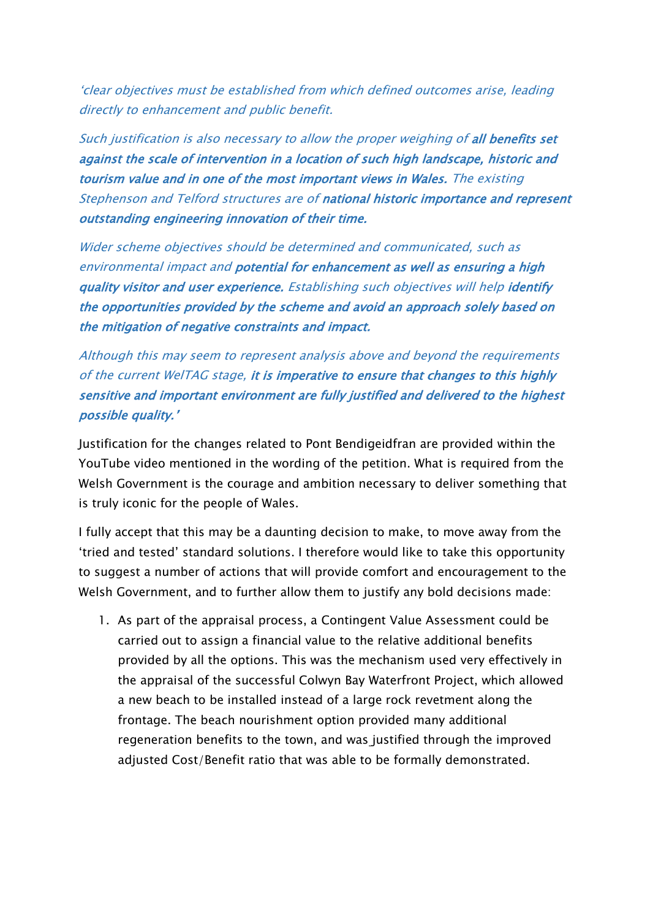'clear objectives must be established from which defined outcomes arise, leading directly to enhancement and public benefit.

Such justification is also necessary to allow the proper weighing of all benefits set against the scale of intervention in a location of such high landscape, historic and tourism value and in one of the most important views in Wales. The existing Stephenson and Telford structures are of national historic importance and represent outstanding engineering innovation of their time.

Wider scheme objectives should be determined and communicated, such as environmental impact and potential for enhancement as well as ensuring a high quality visitor and user experience. Establishing such objectives will help identify the opportunities provided by the scheme and avoid an approach solely based on the mitigation of negative constraints and impact.

Although this may seem to represent analysis above and beyond the requirements of the current WelTAG stage, it is imperative to ensure that changes to this highly sensitive and important environment are fully justified and delivered to the highest possible quality.'

Justification for the changes related to Pont Bendigeidfran are provided within the YouTube video mentioned in the wording of the petition. What is required from the Welsh Government is the courage and ambition necessary to deliver something that is truly iconic for the people of Wales.

I fully accept that this may be a daunting decision to make, to move away from the 'tried and tested' standard solutions. I therefore would like to take this opportunity to suggest a number of actions that will provide comfort and encouragement to the Welsh Government, and to further allow them to justify any bold decisions made:

1. As part of the appraisal process, a Contingent Value Assessment could be carried out to assign a financial value to the relative additional benefits provided by all the options. This was the mechanism used very effectively in the appraisal of the successful Colwyn Bay Waterfront Project, which allowed a new beach to be installed instead of a large rock revetment along the frontage. The beach nourishment option provided many additional regeneration benefits to the town, and was justified through the improved adjusted Cost/Benefit ratio that was able to be formally demonstrated.